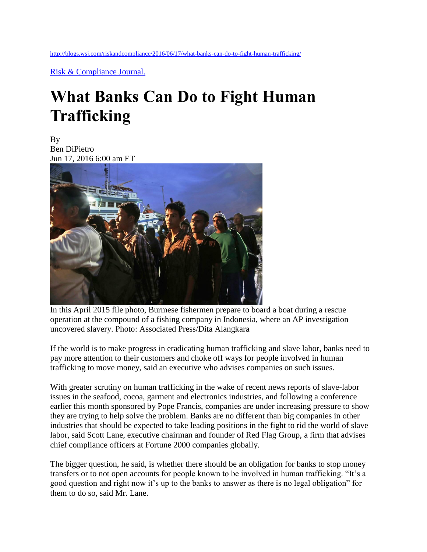[Risk & Compliance Journal.](http://www.wsj.com/news/risk-compliance-journal)

## **What Banks Can Do to Fight Human Trafficking**

By Ben DiPietro Jun 17, 2016 6:00 am ET



In this April 2015 file photo, Burmese fishermen prepare to board a boat during a rescue operation at the compound of a fishing company in Indonesia, where an AP investigation uncovered slavery. Photo: Associated Press/Dita Alangkara

If the world is to make progress in eradicating human trafficking and slave labor, banks need to pay more attention to their customers and choke off ways for people involved in human trafficking to move money, said an executive who advises companies on such issues.

With greater scrutiny on human trafficking in the wake of recent news reports of slave-labor issues in the seafood, cocoa, garment and electronics industries, and following a conference earlier this month sponsored by Pope Francis, companies are under increasing pressure to show they are trying to help solve the problem. Banks are no different than big companies in other industries that should be expected to take leading positions in the fight to rid the world of slave labor, said Scott Lane, executive chairman and founder of Red Flag Group, a firm that advises chief compliance officers at Fortune 2000 companies globally.

The bigger question, he said, is whether there should be an obligation for banks to stop money transfers or to not open accounts for people known to be involved in human trafficking. "It's a good question and right now it's up to the banks to answer as there is no legal obligation" for them to do so, said Mr. Lane.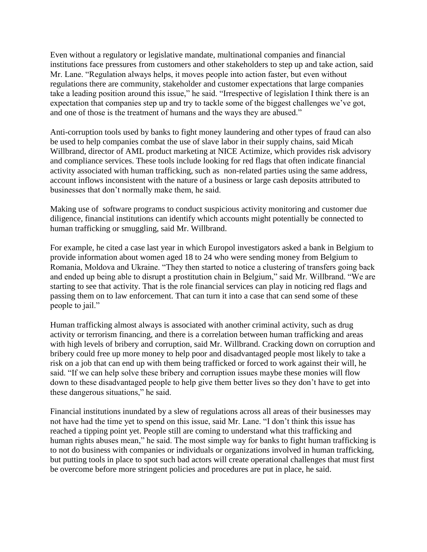Even without a regulatory or legislative mandate, multinational companies and financial institutions face pressures from customers and other stakeholders to step up and take action, said Mr. Lane. "Regulation always helps, it moves people into action faster, but even without regulations there are community, stakeholder and customer expectations that large companies take a leading position around this issue," he said. "Irrespective of legislation I think there is an expectation that companies step up and try to tackle some of the biggest challenges we've got, and one of those is the treatment of humans and the ways they are abused."

Anti-corruption tools used by banks to fight money laundering and other types of fraud can also be used to help companies combat the use of slave labor in their supply chains, said Micah Willbrand, director of AML product marketing at NICE Actimize, which provides risk advisory and compliance services. These tools include looking for red flags that often indicate financial activity associated with human trafficking, such as non-related parties using the same address, account inflows inconsistent with the nature of a business or large cash deposits attributed to businesses that don't normally make them, he said.

Making use of software programs to conduct suspicious activity monitoring and customer due diligence, financial institutions can identify which accounts might potentially be connected to human trafficking or smuggling, said Mr. Willbrand.

For example, he cited a case last year in which Europol investigators asked a bank in Belgium to provide information about women aged 18 to 24 who were sending money from Belgium to Romania, Moldova and Ukraine. "They then started to notice a clustering of transfers going back and ended up being able to disrupt a prostitution chain in Belgium," said Mr. Willbrand. "We are starting to see that activity. That is the role financial services can play in noticing red flags and passing them on to law enforcement. That can turn it into a case that can send some of these people to jail."

Human trafficking almost always is associated with another criminal activity, such as drug activity or terrorism financing, and there is a correlation between human trafficking and areas with high levels of bribery and corruption, said Mr. Willbrand. Cracking down on corruption and bribery could free up more money to help poor and disadvantaged people most likely to take a risk on a job that can end up with them being trafficked or forced to work against their will, he said. "If we can help solve these bribery and corruption issues maybe these monies will flow down to these disadvantaged people to help give them better lives so they don't have to get into these dangerous situations," he said.

Financial institutions inundated by a slew of regulations across all areas of their businesses may not have had the time yet to spend on this issue, said Mr. Lane. "I don't think this issue has reached a tipping point yet. People still are coming to understand what this trafficking and human rights abuses mean," he said. The most simple way for banks to fight human trafficking is to not do business with companies or individuals or organizations involved in human trafficking, but putting tools in place to spot such bad actors will create operational challenges that must first be overcome before more stringent policies and procedures are put in place, he said.